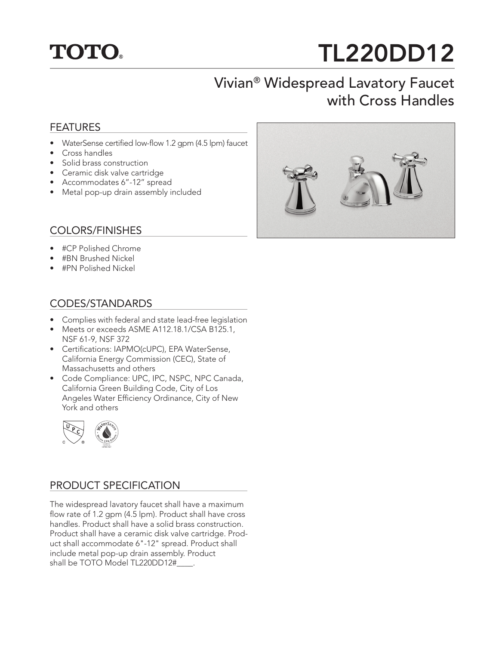

# TL220DD12

## Vivian® Widespread Lavatory Faucet with Cross Handles

#### FEATURES

- WaterSense certified low-flow 1.2 gpm (4.5 lpm) faucet
- Cross handles
- Solid brass construction
- Ceramic disk valve cartridge
- Accommodates 6"-12" spread
- Metal pop-up drain assembly included

#### COLORS/FINISHES

- #CP Polished Chrome
- #BN Brushed Nickel
- #PN Polished Nickel

#### CODES/STANDARDS

- Complies with federal and state lead-free legislation
- Meets or exceeds ASME A112.18.1/CSA B125.1, NSF 61-9, NSF 372
- Certifications: IAPMO(cUPC), EPA WaterSense, California Energy Commission (CEC), State of Massachusetts and others
- Code Compliance: UPC, IPC, NSPC, NPC Canada, California Green Building Code, City of Los Angeles Water Efficiency Ordinance, City of New York and others



### PRODUCT SPECIFICATION

The widespread lavatory faucet shall have a maximum flow rate of 1.2 gpm (4.5 lpm). Product shall have cross handles. Product shall have a solid brass construction. Product shall have a ceramic disk valve cartridge. Product shall accommodate 6"-12" spread. Product shall include metal pop-up drain assembly. Product shall be TOTO Model TL220DD12#\_\_\_\_.